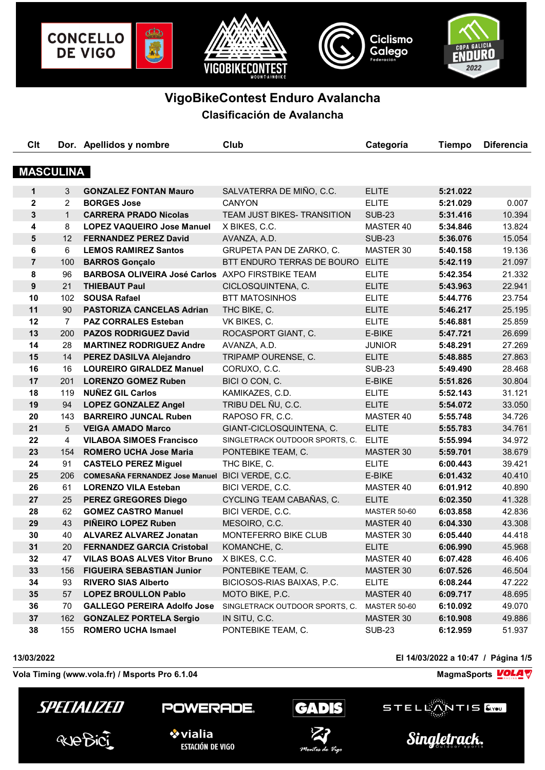

# **VigoBikeContest Enduro Avalancha**

**Clasificación de Avalancha**

| Clt              |                 | Dor. Apellidos y nombre                          | Club                           | Categoría           | <b>Tiempo</b> | <b>Diferencia</b> |
|------------------|-----------------|--------------------------------------------------|--------------------------------|---------------------|---------------|-------------------|
|                  |                 |                                                  |                                |                     |               |                   |
| <b>MASCULINA</b> |                 |                                                  |                                |                     |               |                   |
| $\mathbf{1}$     | 3               | <b>GONZALEZ FONTAN Mauro</b>                     | SALVATERRA DE MIÑO, C.C.       | <b>ELITE</b>        | 5:21.022      |                   |
| $\mathbf{2}$     | $\overline{2}$  | <b>BORGES Jose</b>                               | <b>CANYON</b>                  | <b>ELITE</b>        | 5:21.029      | 0.007             |
| $\mathbf{3}$     | 1               | <b>CARRERA PRADO Nicolas</b>                     | TEAM JUST BIKES- TRANSITION    | <b>SUB-23</b>       | 5:31.416      | 10.394            |
| 4                | 8               | <b>LOPEZ VAQUEIRO Jose Manuel</b>                | X BIKES, C.C.                  | MASTER 40           | 5:34.846      | 13.824            |
| 5                | 12 <sup>2</sup> | <b>FERNANDEZ PEREZ David</b>                     | AVANZA, A.D.                   | <b>SUB-23</b>       | 5:36.076      | 15.054            |
| 6                | 6               | <b>LEMOS RAMIREZ Santos</b>                      | GRUPETA PAN DE ZARKO, C.       | MASTER 30           | 5:40.158      | 19.136            |
| $\overline{7}$   | 100             | <b>BARROS Gonçalo</b>                            | BTT ENDURO TERRAS DE BOURO     | <b>ELITE</b>        | 5:42.119      | 21.097            |
| 8                | 96              | BARBOSA OLIVEIRA José Carlos AXPO FIRSTBIKE TEAM |                                | <b>ELITE</b>        | 5:42.354      | 21.332            |
| 9                | 21              | <b>THIEBAUT Paul</b>                             | CICLOSQUINTENA, C.             | <b>ELITE</b>        | 5:43.963      | 22.941            |
| 10               | 102             | <b>SOUSA Rafael</b>                              | <b>BTT MATOSINHOS</b>          | <b>ELITE</b>        | 5:44.776      | 23.754            |
| 11               | 90              | <b>PASTORIZA CANCELAS Adrian</b>                 | THC BIKE, C.                   | <b>ELITE</b>        | 5:46.217      | 25.195            |
| 12               | $7^{\circ}$     | <b>PAZ CORRALES Esteban</b>                      | VK BIKES, C.                   | <b>ELITE</b>        | 5:46.881      | 25.859            |
| 13               | 200             | <b>PAZOS RODRIGUEZ David</b>                     | ROCASPORT GIANT, C.            | E-BIKE              | 5:47.721      | 26.699            |
| 14               | 28              | <b>MARTINEZ RODRIGUEZ Andre</b>                  | AVANZA, A.D.                   | <b>JUNIOR</b>       | 5:48.291      | 27.269            |
| 15               | 14              | PEREZ DASILVA Alejandro                          | TRIPAMP OURENSE, C.            | <b>ELITE</b>        | 5:48.885      | 27.863            |
| 16               | 16              | <b>LOUREIRO GIRALDEZ Manuel</b>                  | CORUXO, C.C.                   | <b>SUB-23</b>       | 5:49.490      | 28.468            |
| 17               | 201             | <b>LORENZO GOMEZ Ruben</b>                       | BICI O CON, C.                 | E-BIKE              | 5:51.826      | 30.804            |
| 18               | 119             | <b>NUÑEZ GIL Carlos</b>                          | KAMIKAZES, C.D.                | <b>ELITE</b>        | 5:52.143      | 31.121            |
| 19               | 94              | <b>LOPEZ GONZALEZ Angel</b>                      | TRIBU DEL ÑU, C.C.             | <b>ELITE</b>        | 5:54.072      | 33.050            |
| 20               | 143             | <b>BARREIRO JUNCAL Ruben</b>                     | RAPOSO FR, C.C.                | MASTER 40           | 5:55.748      | 34.726            |
| 21               | 5 <sup>5</sup>  | <b>VEIGA AMADO Marco</b>                         | GIANT-CICLOSQUINTENA, C.       | <b>ELITE</b>        | 5:55.783      | 34.761            |
| 22               | 4               | <b>VILABOA SIMOES Francisco</b>                  | SINGLETRACK OUTDOOR SPORTS, C. | <b>ELITE</b>        | 5:55.994      | 34.972            |
| 23               | 154             | <b>ROMERO UCHA Jose Maria</b>                    | PONTEBIKE TEAM, C.             | <b>MASTER 30</b>    | 5:59.701      | 38.679            |
| 24               | 91              | <b>CASTELO PEREZ Miguel</b>                      | THC BIKE, C.                   | <b>ELITE</b>        | 6:00.443      | 39.421            |
| 25               | 206             | COMESAÑA FERNANDEZ Jose Manuel BICI VERDE, C.C.  |                                | E-BIKE              | 6:01.432      | 40.410            |
| 26               | 61              | <b>LORENZO VILA Esteban</b>                      | BICI VERDE, C.C.               | MASTER 40           | 6:01.912      | 40.890            |
| 27               | 25              | <b>PEREZ GREGORES Diego</b>                      | CYCLING TEAM CABAÑAS, C.       | <b>ELITE</b>        | 6:02.350      | 41.328            |
| 28               | 62              | <b>GOMEZ CASTRO Manuel</b>                       | BICI VERDE, C.C.               | <b>MASTER 50-60</b> | 6:03.858      | 42.836            |
| 29               | 43              | <b>PINEIRO LOPEZ Ruben</b>                       | MESOIRO, C.C.                  | MASTER 40           | 6:04.330      | 43.308            |
| 30               | 40              | <b>ALVAREZ ALVAREZ Jonatan</b>                   | MONTEFERRO BIKE CLUB           | MASTER 30           | 6:05.440      | 44.418            |
| 31               | 20              | <b>FERNANDEZ GARCIA Cristobal</b>                | KOMANCHE, C.                   | <b>ELITE</b>        | 6:06.990      | 45.968            |
| 32               | 47              | <b>VILAS BOAS ALVES Vitor Bruno</b>              | X BIKES, C.C.                  | MASTER 40           | 6:07.428      | 46.406            |
| 33               | 156             | <b>FIGUEIRA SEBASTIAN Junior</b>                 | PONTEBIKE TEAM, C.             | MASTER 30           | 6:07.526      | 46.504            |
| 34               | 93              | <b>RIVERO SIAS Alberto</b>                       | BICIOSOS-RIAS BAIXAS, P.C.     | <b>ELITE</b>        | 6:08.244      | 47.222            |
| 35               | 57              | <b>LOPEZ BROULLON Pablo</b>                      | MOTO BIKE, P.C.                | MASTER 40           | 6:09.717      | 48.695            |
| 36               | 70              | <b>GALLEGO PEREIRA Adolfo Jose</b>               | SINGLETRACK OUTDOOR SPORTS, C. | <b>MASTER 50-60</b> | 6:10.092      | 49.070            |
| 37               | 162             | <b>GONZALEZ PORTELA Sergio</b>                   | IN SITU, C.C.                  | MASTER 30           | 6:10.908      | 49.886            |
|                  |                 |                                                  |                                |                     |               | 51.937            |
| 38               | 155             | <b>ROMERO UCHA Ismael</b>                        | PONTEBIKE TEAM, C.             | <b>SUB-23</b>       | 6:12.959      |                   |

Vola Timing (www.vola.fr) / Msports Pro 6.1.04 **MagmaChanger Strutter Pro Control of August** MagmaSports **VOLA** 



POWERADE.



**13/03/2022 El 14/03/2022 a 10:47 / Página 1/5**



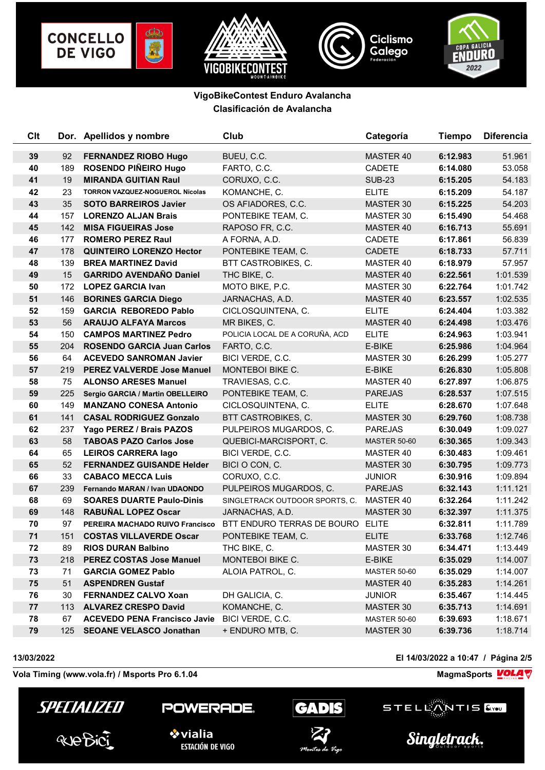









| Clt |     | Dor. Apellidos y nombre             | Club                             | Categoría           | <b>Tiempo</b> | <b>Diferencia</b> |
|-----|-----|-------------------------------------|----------------------------------|---------------------|---------------|-------------------|
| 39  | 92  | <b>FERNANDEZ RIOBO Hugo</b>         | BUEU, C.C.                       | MASTER 40           | 6:12.983      | 51.961            |
| 40  | 189 | ROSENDO PIÑEIRO Hugo                | FARTO, C.C.                      | <b>CADETE</b>       | 6:14.080      | 53.058            |
| 41  | 19  | <b>MIRANDA GUITIAN Raul</b>         | CORUXO, C.C.                     | <b>SUB-23</b>       | 6:15.205      | 54.183            |
| 42  | 23  | TORRON VAZQUEZ-NOGUEROL Nicolas     | KOMANCHE, C.                     | <b>ELITE</b>        | 6:15.209      | 54.187            |
| 43  | 35  | <b>SOTO BARREIROS Javier</b>        | OS AFIADORES, C.C.               | MASTER 30           | 6:15.225      | 54.203            |
| 44  | 157 | <b>LORENZO ALJAN Brais</b>          | PONTEBIKE TEAM, C.               | MASTER 30           | 6:15.490      | 54.468            |
| 45  | 142 | <b>MISA FIGUEIRAS Jose</b>          | RAPOSO FR, C.C.                  | MASTER 40           | 6:16.713      | 55.691            |
| 46  | 177 | <b>ROMERO PEREZ Raul</b>            | A FORNA, A.D.                    | <b>CADETE</b>       | 6:17.861      | 56.839            |
| 47  | 178 | <b>QUINTEIRO LORENZO Hector</b>     | PONTEBIKE TEAM, C.               | <b>CADETE</b>       | 6:18.733      | 57.711            |
| 48  | 139 | <b>BREA MARTINEZ David</b>          | BTT CASTROBIKES, C.              | MASTER 40           | 6:18.979      | 57.957            |
| 49  | 15  | <b>GARRIDO AVENDAÑO Daniel</b>      | THC BIKE, C.                     | MASTER 40           | 6:22.561      | 1:01.539          |
| 50  | 172 | <b>LOPEZ GARCIA Ivan</b>            | MOTO BIKE, P.C.                  | MASTER 30           | 6:22.764      | 1:01.742          |
| 51  | 146 | <b>BORINES GARCIA Diego</b>         | JARNACHAS, A.D.                  | MASTER 40           | 6:23.557      | 1:02.535          |
| 52  | 159 | <b>GARCIA REBOREDO Pablo</b>        | CICLOSQUINTENA, C.               | <b>ELITE</b>        | 6:24.404      | 1:03.382          |
| 53  | 56  | <b>ARAUJO ALFAYA Marcos</b>         | MR BIKES, C.                     | MASTER 40           | 6:24.498      | 1:03.476          |
| 54  | 150 | <b>CAMPOS MARTINEZ Pedro</b>        | POLICIA LOCAL DE A CORUÑA, ACD   | <b>ELITE</b>        | 6:24.963      | 1:03.941          |
| 55  | 204 | <b>ROSENDO GARCIA Juan Carlos</b>   | FARTO, C.C.                      | E-BIKE              | 6:25.986      | 1:04.964          |
| 56  | 64  | <b>ACEVEDO SANROMAN Javier</b>      | BICI VERDE, C.C.                 | MASTER 30           | 6:26.299      | 1:05.277          |
| 57  |     | 219 PEREZ VALVERDE Jose Manuel      | MONTEBOI BIKE C.                 | E-BIKE              | 6:26.830      | 1:05.808          |
| 58  | 75  | <b>ALONSO ARESES Manuel</b>         | TRAVIESAS, C.C.                  | MASTER 40           | 6:27.897      | 1:06.875          |
| 59  | 225 | Sergio GARCIA / Martin OBELLEIRO    | PONTEBIKE TEAM, C.               | <b>PAREJAS</b>      | 6:28.537      | 1:07.515          |
| 60  | 149 | <b>MANZANO CONESA Antonio</b>       | CICLOSQUINTENA, C.               | <b>ELITE</b>        | 6:28.670      | 1:07.648          |
| 61  | 141 | <b>CASAL RODRIGUEZ Gonzalo</b>      | BTT CASTROBIKES, C.              | MASTER 30           | 6:29.760      | 1:08.738          |
| 62  | 237 | Yago PEREZ / Brais PAZOS            | PULPEIROS MUGARDOS, C.           | <b>PAREJAS</b>      | 6:30.049      | 1:09.027          |
| 63  | 58  | <b>TABOAS PAZO Carlos Jose</b>      | QUEBICI-MARCISPORT, C.           | <b>MASTER 50-60</b> | 6:30.365      | 1:09.343          |
| 64  | 65  | <b>LEIROS CARRERA lago</b>          | BICI VERDE, C.C.                 | MASTER 40           | 6:30.483      | 1:09.461          |
| 65  | 52  | <b>FERNANDEZ GUISANDE Helder</b>    | BICI O CON, C.                   | MASTER 30           | 6:30.795      | 1:09.773          |
| 66  | 33  | <b>CABACO MECCA Luis</b>            | CORUXO, C.C.                     | <b>JUNIOR</b>       | 6:30.916      | 1:09.894          |
| 67  | 239 | Fernando MARAN / Ivan UDAONDO       | PULPEIROS MUGARDOS, C.           | <b>PAREJAS</b>      | 6:32.143      | 1:11.121          |
| 68  | 69  | <b>SOARES DUARTE Paulo-Dinis</b>    | SINGLETRACK OUTDOOR SPORTS, C.   | MASTER 40           | 6:32.264      | 1:11.242          |
| 69  | 148 | <b>RABUÑAL LOPEZ Oscar</b>          | JARNACHAS, A.D.                  | <b>MASTER 30</b>    | 6:32.397      | 1:11.375          |
| 70  | 97  | PEREIRA MACHADO RUIVO Francisco     | BTT ENDURO TERRAS DE BOURO ELITE |                     | 6:32.811      | 1:11.789          |
| 71  | 151 | <b>COSTAS VILLAVERDE Oscar</b>      | PONTEBIKE TEAM, C.               | <b>ELITE</b>        | 6:33.768      | 1:12.746          |
| 72  | 89  | <b>RIOS DURAN Balbino</b>           | THC BIKE, C.                     | MASTER 30           | 6:34.471      | 1:13.449          |
| 73  | 218 | <b>PEREZ COSTAS Jose Manuel</b>     | MONTEBOI BIKE C.                 | E-BIKE              | 6:35.029      | 1:14.007          |
| 73  | 71  | <b>GARCIA GOMEZ Pablo</b>           | ALOIA PATROL, C.                 | <b>MASTER 50-60</b> | 6:35.029      | 1:14.007          |
| 75  | 51  | <b>ASPENDREN Gustaf</b>             |                                  | MASTER 40           | 6:35.283      | 1:14.261          |
| 76  | 30  | <b>FERNANDEZ CALVO Xoan</b>         | DH GALICIA, C.                   | <b>JUNIOR</b>       | 6:35.467      | 1:14.445          |
| 77  | 113 | <b>ALVAREZ CRESPO David</b>         | KOMANCHE, C.                     | <b>MASTER 30</b>    | 6:35.713      | 1:14.691          |
| 78  | 67  | <b>ACEVEDO PENA Francisco Javie</b> | BICI VERDE, C.C.                 | <b>MASTER 50-60</b> | 6:39.693      | 1:18.671          |
| 79  | 125 | <b>SEOANE VELASCO Jonathan</b>      | + ENDURO MTB, C.                 | MASTER 30           | 6:39.736      | 1:18.714          |

Vola Timing (www.vola.fr) / Msports Pro 6.1.04 **MagmaChanger Strutter Pro Control of August** MagmaSports **VOLA** 



POWERADE.



**13/03/2022 El 14/03/2022 a 10:47 / Página 2/5**





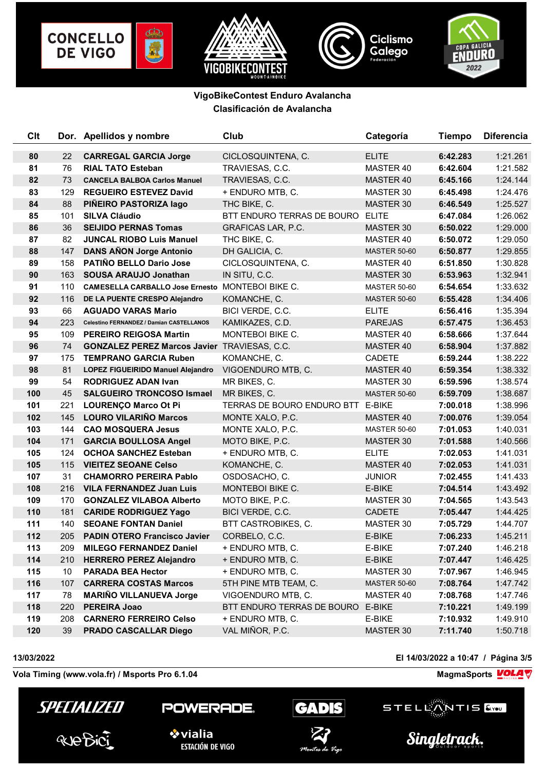









| Clt |     | Dor. Apellidos y nombre                             | Club                       | Categoría           | <b>Tiempo</b> | <b>Diferencia</b> |
|-----|-----|-----------------------------------------------------|----------------------------|---------------------|---------------|-------------------|
| 80  | 22  | <b>CARREGAL GARCIA Jorge</b>                        | CICLOSQUINTENA, C.         | <b>ELITE</b>        | 6:42.283      | 1:21.261          |
| 81  | 76  | <b>RIAL TATO Esteban</b>                            | TRAVIESAS, C.C.            | MASTER 40           | 6:42.604      | 1:21.582          |
| 82  | 73  | <b>CANCELA BALBOA Carlos Manuel</b>                 | TRAVIESAS, C.C.            | MASTER 40           | 6:45.166      | 1:24.144          |
| 83  | 129 | <b>REGUEIRO ESTEVEZ David</b>                       | + ENDURO MTB, C.           | MASTER 30           | 6:45.498      | 1:24.476          |
| 84  | 88  | PIÑEIRO PASTORIZA lago                              | THC BIKE, C.               | MASTER 30           | 6:46.549      | 1:25.527          |
| 85  | 101 | <b>SILVA Cláudio</b>                                | BTT ENDURO TERRAS DE BOURO | <b>ELITE</b>        | 6:47.084      | 1:26.062          |
| 86  | 36  | <b>SEIJIDO PERNAS Tomas</b>                         | <b>GRAFICAS LAR, P.C.</b>  | MASTER 30           | 6:50.022      | 1:29.000          |
| 87  | 82  | <b>JUNCAL RIOBO Luis Manuel</b>                     | THC BIKE, C.               | MASTER 40           | 6:50.072      | 1:29.050          |
| 88  | 147 | <b>DANS AÑON Jorge Antonio</b>                      | DH GALICIA, C.             | <b>MASTER 50-60</b> | 6:50.877      | 1:29.855          |
| 89  | 158 | PATIÑO BELLO Dario Jose                             | CICLOSQUINTENA, C.         | MASTER 40           | 6:51.850      | 1:30.828          |
| 90  | 163 | <b>SOUSA ARAUJO Jonathan</b>                        | IN SITU, C.C.              | MASTER 30           | 6:53.963      | 1:32.941          |
| 91  | 110 | CAMESELLA CARBALLO Jose Ernesto MONTEBOI BIKE C.    |                            | <b>MASTER 50-60</b> | 6:54.654      | 1:33.632          |
| 92  | 116 | DE LA PUENTE CRESPO Alejandro                       | KOMANCHE, C.               | <b>MASTER 50-60</b> | 6:55.428      | 1:34.406          |
| 93  | 66  | <b>AGUADO VARAS Mario</b>                           | BICI VERDE, C.C.           | <b>ELITE</b>        | 6:56.416      | 1:35.394          |
| 94  | 223 | Celestino FERNANDEZ / Damian CASTELLANOS            | KAMIKAZES, C.D.            | <b>PAREJAS</b>      | 6:57.475      | 1:36.453          |
| 95  | 109 | <b>PEREIRO REIGOSA Martin</b>                       | MONTEBOI BIKE C.           | MASTER 40           | 6:58.666      | 1:37.644          |
| 96  | 74  | <b>GONZALEZ PEREZ Marcos Javier TRAVIESAS, C.C.</b> |                            | MASTER 40           | 6:58.904      | 1:37.882          |
| 97  | 175 | <b>TEMPRANO GARCIA Ruben</b>                        | KOMANCHE, C.               | <b>CADETE</b>       | 6:59.244      | 1:38.222          |
| 98  | 81  | LOPEZ FIGUEIRIDO Manuel Alejandro                   | VIGOENDURO MTB, C.         | MASTER 40           | 6:59.354      | 1:38.332          |
| 99  | 54  | <b>RODRIGUEZ ADAN Ivan</b>                          | MR BIKES, C.               | MASTER 30           | 6:59.596      | 1:38.574          |
| 100 | 45  | <b>SALGUEIRO TRONCOSO Ismael</b>                    | MR BIKES, C.               | <b>MASTER 50-60</b> | 6:59.709      | 1:38.687          |
| 101 | 221 | <b>LOURENÇO Marco Ot Pi</b>                         | TERRAS DE BOURO ENDURO BTT | E-BIKE              | 7:00.018      | 1:38.996          |
| 102 |     | 145 LOURO VILARIÑO Marcos                           | MONTE XALO, P.C.           | MASTER 40           | 7:00.076      | 1:39.054          |
| 103 | 144 | <b>CAO MOSQUERA Jesus</b>                           | MONTE XALO, P.C.           | <b>MASTER 50-60</b> | 7:01.053      | 1:40.031          |
| 104 | 171 | <b>GARCIA BOULLOSA Angel</b>                        | MOTO BIKE, P.C.            | MASTER 30           | 7:01.588      | 1:40.566          |
| 105 | 124 | <b>OCHOA SANCHEZ Esteban</b>                        | + ENDURO MTB, C.           | <b>ELITE</b>        | 7:02.053      | 1:41.031          |
| 105 | 115 | <b>VIEITEZ SEOANE Celso</b>                         | KOMANCHE, C.               | MASTER 40           | 7:02.053      | 1:41.031          |
| 107 | 31  | <b>CHAMORRO PEREIRA Pablo</b>                       | OSDOSACHO, C.              | <b>JUNIOR</b>       | 7:02.455      | 1:41.433          |
| 108 |     | 216 VILA FERNANDEZ Juan Luis                        | MONTEBOI BIKE C.           | E-BIKE              | 7:04.514      | 1:43.492          |
| 109 | 170 | <b>GONZALEZ VILABOA Alberto</b>                     | MOTO BIKE, P.C.            | MASTER 30           | 7:04.565      | 1:43.543          |
| 110 | 181 | <b>CARIDE RODRIGUEZ Yago</b>                        | BICI VERDE, C.C.           | <b>CADETE</b>       | 7:05.447      | 1:44.425          |
| 111 | 140 | <b>SEOANE FONTAN Daniel</b>                         | BTT CASTROBIKES, C.        | MASTER 30           | 7:05.729      | 1:44.707          |
| 112 | 205 | <b>PADIN OTERO Francisco Javier</b>                 | CORBELO, C.C.              | E-BIKE              | 7:06.233      | 1:45.211          |
| 113 | 209 | <b>MILEGO FERNANDEZ Daniel</b>                      | + ENDURO MTB, C.           | E-BIKE              | 7:07.240      | 1:46.218          |
| 114 | 210 | <b>HERRERO PEREZ Alejandro</b>                      | + ENDURO MTB, C.           | E-BIKE              | 7:07.447      | 1:46.425          |
| 115 | 10  | <b>PARADA BEA Hector</b>                            | + ENDURO MTB, C.           | MASTER 30           | 7:07.967      | 1:46.945          |
| 116 | 107 | <b>CARRERA COSTAS Marcos</b>                        | 5TH PINE MTB TEAM, C.      | <b>MASTER 50-60</b> | 7:08.764      | 1:47.742          |
| 117 | 78  | <b>MARIÑO VILLANUEVA Jorge</b>                      | VIGOENDURO MTB, C.         | MASTER 40           | 7:08.768      | 1:47.746          |
| 118 | 220 | PEREIRA Joao                                        | BTT ENDURO TERRAS DE BOURO | E-BIKE              | 7:10.221      | 1:49.199          |
| 119 | 208 | <b>CARNERO FERREIRO Celso</b>                       | + ENDURO MTB, C.           | E-BIKE              | 7:10.932      | 1:49.910          |
| 120 | 39  | <b>PRADO CASCALLAR Diego</b>                        | VAL MIÑOR, P.C.            | MASTER 30           | 7:11.740      | 1:50.718          |

**13/03/2022 El 14/03/2022 a 10:47 / Página 3/5**

Vola Timing (www.vola.fr) / Msports Pro 6.1.04 **MagmaChanger Strutter Pro Control of August** MagmaSports **VOLA** 



POWERADE.



STELLANTIS

Singletrack.



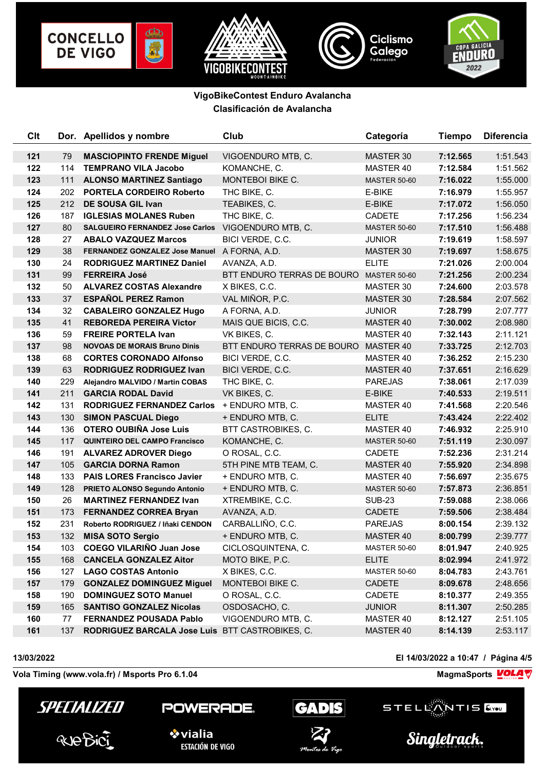









| Clt |     | Dor. Apellidos y nombre                         | Club                       | Categoría           | <b>Tiempo</b> | <b>Diferencia</b> |
|-----|-----|-------------------------------------------------|----------------------------|---------------------|---------------|-------------------|
| 121 | 79  | <b>MASCIOPINTO FRENDE Miguel</b>                | VIGOENDURO MTB, C.         | MASTER 30           | 7:12.565      | 1:51.543          |
| 122 | 114 | <b>TEMPRANO VILA Jacobo</b>                     | KOMANCHE, C.               | MASTER 40           | 7:12.584      | 1:51.562          |
| 123 | 111 | <b>ALONSO MARTINEZ Santiago</b>                 | MONTEBOI BIKE C.           | <b>MASTER 50-60</b> | 7:16.022      | 1:55.000          |
| 124 | 202 | <b>PORTELA CORDEIRO Roberto</b>                 | THC BIKE, C.               | E-BIKE              | 7:16.979      | 1:55.957          |
| 125 | 212 | DE SOUSA GIL Ivan                               | TEABIKES, C.               | E-BIKE              | 7:17.072      | 1:56.050          |
| 126 | 187 | <b>IGLESIAS MOLANES Ruben</b>                   | THC BIKE, C.               | <b>CADETE</b>       | 7:17.256      | 1:56.234          |
| 127 | 80  | <b>SALGUEIRO FERNANDEZ Jose Carlos</b>          | VIGOENDURO MTB, C.         | <b>MASTER 50-60</b> | 7:17.510      | 1:56.488          |
| 128 | 27  | <b>ABALO VAZQUEZ Marcos</b>                     | BICI VERDE, C.C.           | <b>JUNIOR</b>       | 7:19.619      | 1:58.597          |
| 129 | 38  | FERNANDEZ GONZALEZ Jose Manuel A FORNA, A.D.    |                            | MASTER 30           | 7:19.697      | 1:58.675          |
| 130 | 24  | <b>RODRIGUEZ MARTINEZ Daniel</b>                | AVANZA, A.D.               | <b>ELITE</b>        | 7:21.026      | 2:00.004          |
| 131 | 99  | <b>FERREIRA José</b>                            | BTT ENDURO TERRAS DE BOURO | <b>MASTER 50-60</b> | 7:21.256      | 2:00.234          |
| 132 | 50  | <b>ALVAREZ COSTAS Alexandre</b>                 | X BIKES, C.C.              | MASTER 30           | 7:24.600      | 2:03.578          |
| 133 | 37  | <b>ESPAÑOL PEREZ Ramon</b>                      | VAL MIÑOR, P.C.            | MASTER 30           | 7:28.584      | 2:07.562          |
| 134 | 32  | <b>CABALEIRO GONZALEZ Hugo</b>                  | A FORNA, A.D.              | <b>JUNIOR</b>       | 7:28.799      | 2:07.777          |
| 135 | 41  | <b>REBOREDA PEREIRA Victor</b>                  | MAIS QUE BICIS, C.C.       | MASTER 40           | 7:30.002      | 2:08.980          |
| 136 | 59  | <b>FREIRE PORTELA Ivan</b>                      | VK BIKES, C.               | MASTER 40           | 7:32.143      | 2:11.121          |
| 137 | 98  | <b>NOVOAS DE MORAIS Bruno Dinis</b>             | BTT ENDURO TERRAS DE BOURO | MASTER 40           | 7:33.725      | 2:12.703          |
| 138 | 68  | <b>CORTES CORONADO Alfonso</b>                  | BICI VERDE, C.C.           | MASTER 40           | 7:36.252      | 2:15.230          |
| 139 | 63  | <b>RODRIGUEZ RODRIGUEZ Ivan</b>                 | BICI VERDE, C.C.           | MASTER 40           | 7:37.651      | 2:16.629          |
| 140 | 229 | Alejandro MALVIDO / Martin COBAS                | THC BIKE, C.               | <b>PAREJAS</b>      | 7:38.061      | 2:17.039          |
| 141 | 211 | <b>GARCIA RODAL David</b>                       | VK BIKES, C.               | E-BIKE              | 7:40.533      | 2:19.511          |
| 142 | 131 | RODRIGUEZ FERNANDEZ Carlos + ENDURO MTB, C.     |                            | MASTER 40           | 7:41.568      | 2:20.546          |
| 143 | 130 | <b>SIMON PASCUAL Diego</b>                      | + ENDURO MTB, C.           | <b>ELITE</b>        | 7:43.424      | 2:22.402          |
| 144 | 136 | OTERO OUBIÑA Jose Luis                          | BTT CASTROBIKES, C.        | MASTER 40           | 7:46.932      | 2:25.910          |
| 145 | 117 | <b>QUINTEIRO DEL CAMPO Francisco</b>            | KOMANCHE, C.               | <b>MASTER 50-60</b> | 7:51.119      | 2:30.097          |
| 146 | 191 | <b>ALVAREZ ADROVER Diego</b>                    | O ROSAL, C.C.              | <b>CADETE</b>       | 7:52.236      | 2:31.214          |
| 147 | 105 | <b>GARCIA DORNA Ramon</b>                       | 5TH PINE MTB TEAM, C.      | MASTER 40           | 7:55.920      | 2:34.898          |
| 148 | 133 | <b>PAIS LORES Francisco Javier</b>              | + ENDURO MTB, C.           | MASTER 40           | 7:56.697      | 2:35.675          |
| 149 | 128 | PRIETO ALONSO Segundo Antonio                   | + ENDURO MTB, C.           | <b>MASTER 50-60</b> | 7:57.873      | 2:36.851          |
| 150 | 26  | <b>MARTINEZ FERNANDEZ Ivan</b>                  | XTREMBIKE, C.C.            | <b>SUB-23</b>       | 7:59.088      | 2:38.066          |
| 151 | 173 | <b>FERNANDEZ CORREA Bryan</b>                   | AVANZA, A.D.               | <b>CADETE</b>       | 7:59.506      | 2:38.484          |
| 152 | 231 | Roberto RODRIGUEZ / Iñaki CENDON                | CARBALLIÑO, C.C.           | <b>PAREJAS</b>      | 8:00.154      | 2:39.132          |
| 153 | 132 | <b>MISA SOTO Sergio</b>                         | + ENDURO MTB, C.           | MASTER 40           | 8:00.799      | 2:39.777          |
| 154 | 103 | <b>COEGO VILARIÑO Juan Jose</b>                 | CICLOSQUINTENA, C.         | <b>MASTER 50-60</b> | 8:01.947      | 2:40.925          |
| 155 | 168 | <b>CANCELA GONZALEZ Aitor</b>                   | MOTO BIKE, P.C.            | <b>ELITE</b>        | 8:02.994      | 2:41.972          |
| 156 | 127 | <b>LAGO COSTAS Antonio</b>                      | X BIKES, C.C.              | <b>MASTER 50-60</b> | 8:04.783      | 2:43.761          |
| 157 | 179 | <b>GONZALEZ DOMINGUEZ Miguel</b>                | MONTEBOI BIKE C.           | CADETE              | 8:09.678      | 2:48.656          |
| 158 | 190 | <b>DOMINGUEZ SOTO Manuel</b>                    | O ROSAL, C.C.              | CADETE              | 8:10.377      | 2:49.355          |
| 159 | 165 | <b>SANTISO GONZALEZ Nicolas</b>                 | OSDOSACHO, C.              | <b>JUNIOR</b>       | 8:11.307      | 2:50.285          |
| 160 | 77  | FERNANDEZ POUSADA Pablo                         | VIGOENDURO MTB, C.         | MASTER 40           | 8:12.127      | 2:51.105          |
| 161 | 137 | RODRIGUEZ BARCALA Jose Luis BTT CASTROBIKES, C. |                            | MASTER 40           | 8:14.139      | 2:53.117          |

**13/03/2022 El 14/03/2022 a 10:47 / Página 4/5**

Vola Timing (www.vola.fr) / Msports Pro 6.1.04 **MagmaChanger Strutter Pro Control of August** MagmaSports **VOLA** 



POWERADE.



STELLANTIS Singletrack.